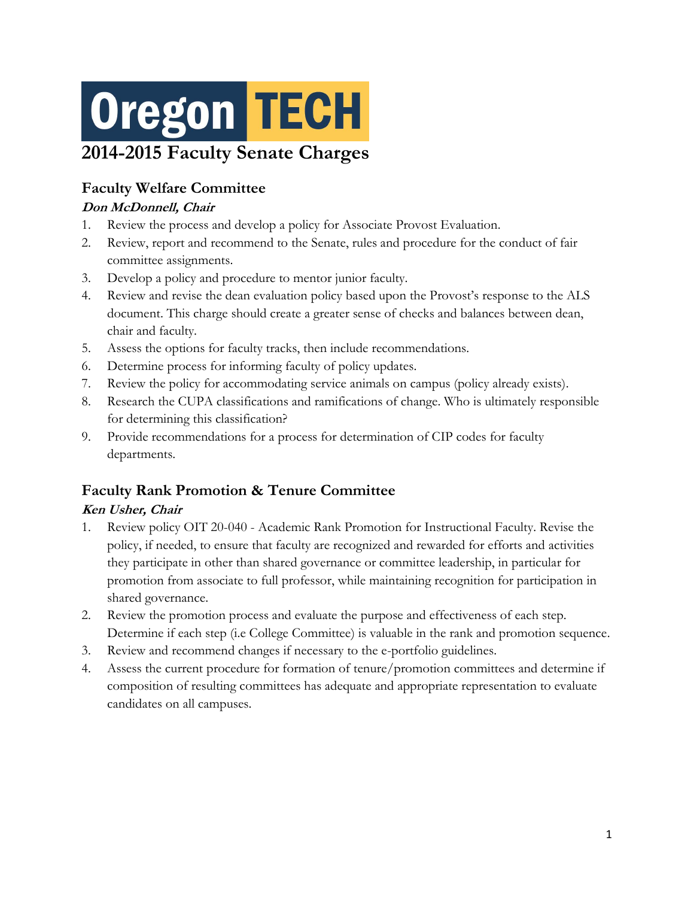# **Oregon TECH 2014-2015 Faculty Senate Charges**

# **Faculty Welfare Committee**

#### **Don McDonnell, Chair**

- 1. Review the process and develop a policy for Associate Provost Evaluation.
- 2. Review, report and recommend to the Senate, rules and procedure for the conduct of fair committee assignments.
- 3. Develop a policy and procedure to mentor junior faculty.
- 4. Review and revise the dean evaluation policy based upon the Provost's response to the ALS document. This charge should create a greater sense of checks and balances between dean, chair and faculty.
- 5. Assess the options for faculty tracks, then include recommendations.
- 6. Determine process for informing faculty of policy updates.
- 7. Review the policy for accommodating service animals on campus (policy already exists).
- 8. Research the CUPA classifications and ramifications of change. Who is ultimately responsible for determining this classification?
- 9. Provide recommendations for a process for determination of CIP codes for faculty departments.

## **Faculty Rank Promotion & Tenure Committee**

#### **Ken Usher, Chair**

- 1. Review policy OIT 20-040 Academic Rank Promotion for Instructional Faculty. Revise the policy, if needed, to ensure that faculty are recognized and rewarded for efforts and activities they participate in other than shared governance or committee leadership, in particular for promotion from associate to full professor, while maintaining recognition for participation in shared governance.
- 2. Review the promotion process and evaluate the purpose and effectiveness of each step. Determine if each step (i.e College Committee) is valuable in the rank and promotion sequence.
- 3. Review and recommend changes if necessary to the e-portfolio guidelines.
- 4. Assess the current procedure for formation of tenure/promotion committees and determine if composition of resulting committees has adequate and appropriate representation to evaluate candidates on all campuses.